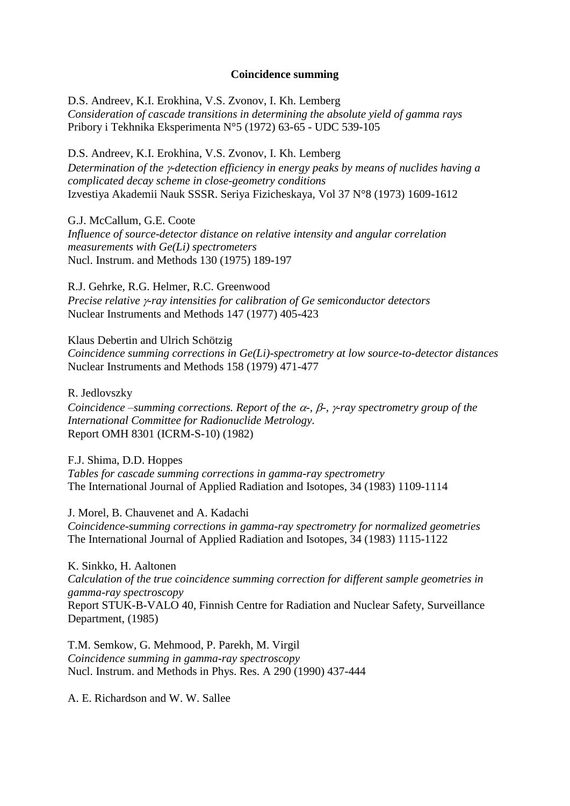## **Coincidence summing**

D.S. Andreev, K.I. Erokhina, V.S. Zvonov, I. Kh. Lemberg *Consideration of cascade transitions in determining the absolute yield of gamma rays* Pribory i Tekhnika Eksperimenta N°5 (1972) 63-65 - UDC 539-105

D.S. Andreev, K.I. Erokhina, V.S. Zvonov, I. Kh. Lemberg *Determination of the -detection efficiency in energy peaks by means of nuclides having a complicated decay scheme in close-geometry conditions*  Izvestiya Akademii Nauk SSSR. Seriya Fizicheskaya, Vol 37 N°8 (1973) 1609-1612

G.J. McCallum, G.E. Coote

*Influence of source-detector distance on relative intensity and angular correlation measurements with Ge(Li) spectrometers* Nucl. Instrum. and Methods 130 (1975) 189-197

R.J. Gehrke, R.G. Helmer, R.C. Greenwood *Precise relative -ray intensities for calibration of Ge semiconductor detectors* Nuclear Instruments and Methods 147 (1977) 405-423

Klaus Debertin and Ulrich Schötzig *Coincidence summing corrections in Ge(Li)-spectrometry at low source-to-detector distances* Nuclear Instruments and Methods 158 (1979) 471-477

R. Jedlovszky *Coincidence –summing corrections. Report of the*  $\alpha$ *-,*  $\beta$ *-,*  $\gamma$ *-ray spectrometry group of the International Committee for Radionuclide Metrology.*  Report OMH 8301 (ICRM-S-10) (1982)

F.J. Shima, D.D. Hoppes *Tables for cascade summing corrections in gamma-ray spectrometry* The International Journal of Applied Radiation and Isotopes, 34 (1983) 1109-1114

J. Morel, B. Chauvenet and A. Kadachi *Coincidence-summing corrections in gamma-ray spectrometry for normalized geometries*

The International Journal of Applied Radiation and Isotopes, 34 (1983) 1115-1122

K. Sinkko, H. Aaltonen *Calculation of the true coincidence summing correction for different sample geometries in gamma-ray spectroscopy* Report STUK-B-VALO 40, Finnish Centre for Radiation and Nuclear Safety, Surveillance Department, (1985)

T.M. Semkow, G. Mehmood, P. Parekh, M. Virgil *Coincidence summing in gamma-ray spectroscopy* Nucl. Instrum. and Methods in Phys. Res. A 290 (1990) 437-444

A. E. Richardson and W. W. Sallee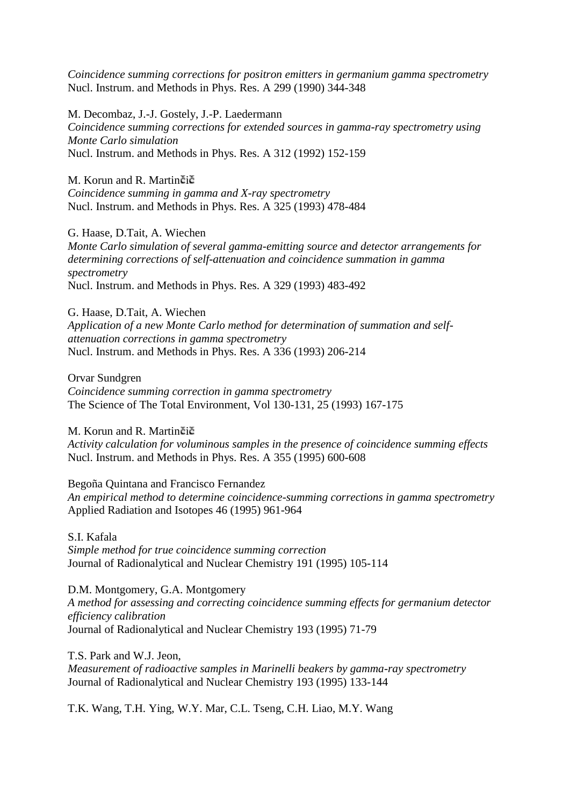*Coincidence summing corrections for positron emitters in germanium gamma spectrometry* Nucl. Instrum. and Methods in Phys. Res. A 299 (1990) 344-348

M. Decombaz, J.-J. Gostely, J.-P. Laedermann *Coincidence summing corrections for extended sources in gamma-ray spectrometry using Monte Carlo simulation* Nucl. Instrum. and Methods in Phys. Res. A 312 (1992) 152-159

M. Korun and R. Martinčič *Coincidence summing in gamma and X-ray spectrometry* Nucl. Instrum. and Methods in Phys. Res. A 325 (1993) 478-484

G. Haase, D.Tait, A. Wiechen *Monte Carlo simulation of several gamma-emitting source and detector arrangements for determining corrections of self-attenuation and coincidence summation in gamma spectrometry* Nucl. Instrum. and Methods in Phys. Res. A 329 (1993) 483-492

G. Haase, D.Tait, A. Wiechen *Application of a new Monte Carlo method for determination of summation and selfattenuation corrections in gamma spectrometry* Nucl. Instrum. and Methods in Phys. Res. A 336 (1993) 206-214

Orvar Sundgren *Coincidence summing correction in gamma spectrometry* The Science of The Total Environment, Vol 130-131, 25 (1993) 167-175

M. Korun and R. Martin $\check{e}$ i $\check{e}$ 

*Activity calculation for voluminous samples in the presence of coincidence summing effects* Nucl. Instrum. and Methods in Phys. Res. A 355 (1995) 600-608

Begoña Quintana and Francisco Fernandez *An empirical method to determine coincidence-summing corrections in gamma spectrometry* Applied Radiation and Isotopes 46 (1995) 961-964

S.I. Kafala *Simple method for true coincidence summing correction* Journal of Radionalytical and Nuclear Chemistry 191 (1995) 105-114

D.M. Montgomery, G.A. Montgomery *A method for assessing and correcting coincidence summing effects for germanium detector efficiency calibration* Journal of Radionalytical and Nuclear Chemistry 193 (1995) 71-79

T.S. Park and W.J. Jeon, *Measurement of radioactive samples in Marinelli beakers by gamma-ray spectrometry* Journal of Radionalytical and Nuclear Chemistry 193 (1995) 133-144

T.K. Wang, T.H. Ying, W.Y. Mar, C.L. Tseng, C.H. Liao, M.Y. Wang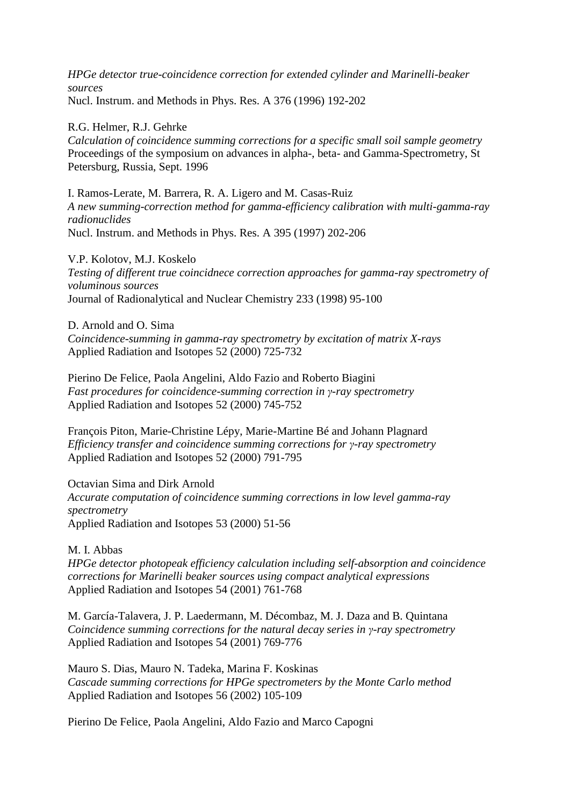*HPGe detector true-coincidence correction for extended cylinder and Marinelli-beaker sources* Nucl. Instrum. and Methods in Phys. Res. A 376 (1996) 192-202

R.G. Helmer, R.J. Gehrke *Calculation of coincidence summing corrections for a specific small soil sample geometry* Proceedings of the symposium on advances in alpha-, beta- and Gamma-Spectrometry, St Petersburg, Russia, Sept. 1996

I. Ramos-Lerate, M. Barrera, R. A. Ligero and M. Casas-Ruiz *A new summing-correction method for gamma-efficiency calibration with multi-gamma-ray radionuclides* Nucl. Instrum. and Methods in Phys. Res. A 395 (1997) 202-206

V.P. Kolotov, M.J. Koskelo *Testing of different true coincidnece correction approaches for gamma-ray spectrometry of voluminous sources* Journal of Radionalytical and Nuclear Chemistry 233 (1998) 95-100

D. Arnold and O. Sima *Coincidence-summing in gamma-ray spectrometry by excitation of matrix X-rays* Applied Radiation and Isotopes 52 (2000) 725-732

Pierino De Felice, Paola Angelini, Aldo Fazio and Roberto Biagini *Fast procedures for coincidence-summing correction in γ-ray spectrometry* Applied Radiation and Isotopes 52 (2000) 745-752

François Piton, Marie-Christine Lépy, Marie-Martine Bé and Johann Plagnard *Efficiency transfer and coincidence summing corrections for γ-ray spectrometry* Applied Radiation and Isotopes 52 (2000) 791-795

Octavian Sima and Dirk Arnold *Accurate computation of coincidence summing corrections in low level gamma-ray spectrometry* Applied Radiation and Isotopes 53 (2000) 51-56

M. I. Abbas

*HPGe detector photopeak efficiency calculation including self-absorption and coincidence corrections for Marinelli beaker sources using compact analytical expressions* Applied Radiation and Isotopes 54 (2001) 761-768

M. García-Talavera, J. P. Laedermann, M. Décombaz, M. J. Daza and B. Quintana *Coincidence summing corrections for the natural decay series in γ-ray spectrometry* Applied Radiation and Isotopes 54 (2001) 769-776

Mauro S. Dias, Mauro N. Tadeka, Marina F. Koskinas *Cascade summing corrections for HPGe spectrometers by the Monte Carlo method* Applied Radiation and Isotopes 56 (2002) 105-109

Pierino De Felice, Paola Angelini, Aldo Fazio and Marco Capogni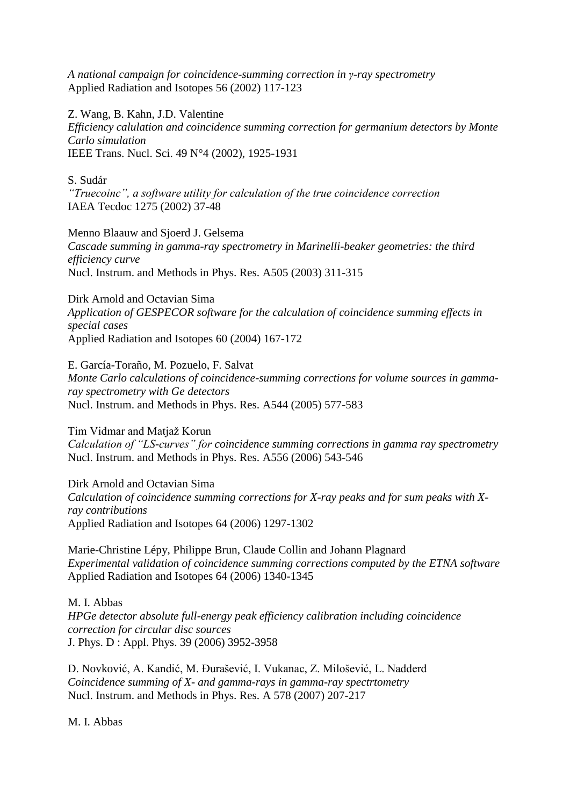*A national campaign for coincidence-summing correction in γ-ray spectrometry* Applied Radiation and Isotopes 56 (2002) 117-123

Z. Wang, B. Kahn, J.D. Valentine *Efficiency calulation and coincidence summing correction for germanium detectors by Monte Carlo simulation* IEEE Trans. Nucl. Sci. 49 N°4 (2002), 1925-1931

S. Sudár

*"Truecoinc", a software utility for calculation of the true coincidence correction* IAEA Tecdoc 1275 (2002) 37-48

Menno Blaauw and Sjoerd J. Gelsema *Cascade summing in gamma-ray spectrometry in Marinelli-beaker geometries: the third efficiency curve* Nucl. Instrum. and Methods in Phys. Res. A505 (2003) 311-315

Dirk Arnold and Octavian Sima *Application of GESPECOR software for the calculation of coincidence summing effects in special cases* Applied Radiation and Isotopes 60 (2004) 167-172

E. García-Toraño, M. Pozuelo, F. Salvat *Monte Carlo calculations of coincidence-summing corrections for volume sources in gammaray spectrometry with Ge detectors* Nucl. Instrum. and Methods in Phys. Res. A544 (2005) 577-583

Tim Vidmar and Matjaž Korun *Calculation of "LS-curves" for coincidence summing corrections in gamma ray spectrometry* Nucl. Instrum. and Methods in Phys. Res. A556 (2006) 543-546

Dirk Arnold and Octavian Sima *Calculation of coincidence summing corrections for X-ray peaks and for sum peaks with Xray contributions* Applied Radiation and Isotopes 64 (2006) 1297-1302

Marie-Christine Lépy, Philippe Brun, Claude Collin and Johann Plagnard *Experimental validation of coincidence summing corrections computed by the ETNA software* Applied Radiation and Isotopes 64 (2006) 1340-1345

M. I. Abbas *HPGe detector absolute full-energy peak efficiency calibration including coincidence correction for circular disc sources* J. Phys. D : Appl. Phys. 39 (2006) 3952-3958

D. Novković, A. Kandić, M. Ðurašević, I. Vukanac, Z. Milošević, L. Nađđerđ *Coincidence summing of X- and gamma-rays in gamma-ray spectrtometry* Nucl. Instrum. and Methods in Phys. Res. A 578 (2007) 207-217

M. I. Abbas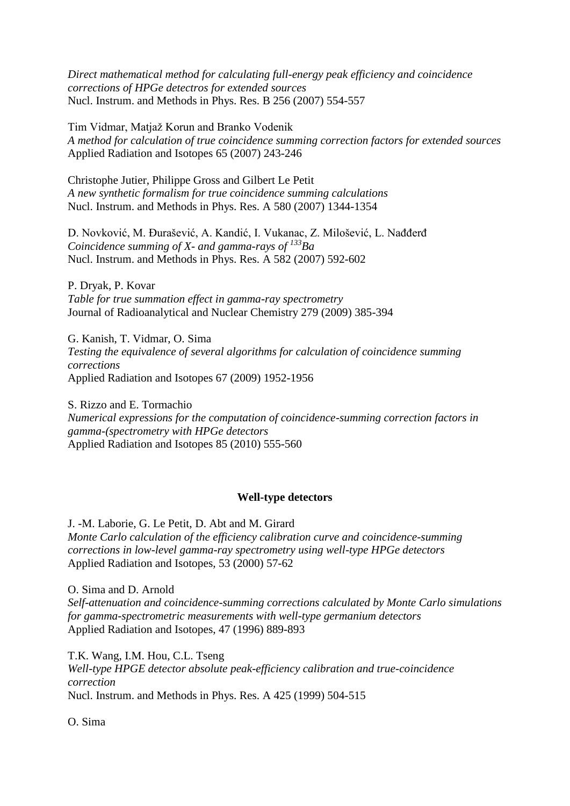*Direct mathematical method for calculating full-energy peak efficiency and coincidence corrections of HPGe detectros for extended sources* Nucl. Instrum. and Methods in Phys. Res. B 256 (2007) 554-557

Tim Vidmar, Matjaž Korun and Branko Vodenik *A method for calculation of true coincidence summing correction factors for extended sources* Applied Radiation and Isotopes 65 (2007) 243-246

Christophe Jutier, Philippe Gross and Gilbert Le Petit *A new synthetic formalism for true coincidence summing calculations* Nucl. Instrum. and Methods in Phys. Res. A 580 (2007) 1344-1354

D. Novković, M. Ðurašević, A. Kandić, I. Vukanac, Z. Milošević, L. Nađđerđ *Coincidence summing of X- and gamma-rays of <sup>133</sup>Ba* Nucl. Instrum. and Methods in Phys. Res. A 582 (2007) 592-602

P. Dryak, P. Kovar *Table for true summation effect in gamma-ray spectrometry* Journal of Radioanalytical and Nuclear Chemistry 279 (2009) 385-394

G. Kanish, T. Vidmar, O. Sima *Testing the equivalence of several algorithms for calculation of coincidence summing corrections* Applied Radiation and Isotopes 67 (2009) 1952-1956

S. Rizzo and E. Tormachio *Numerical expressions for the computation of coincidence-summing correction factors in gamma-(spectrometry with HPGe detectors* Applied Radiation and Isotopes 85 (2010) 555-560

## **Well-type detectors**

J. -M. Laborie, G. Le Petit, D. Abt and M. Girard *Monte Carlo calculation of the efficiency calibration curve and coincidence-summing corrections in low-level gamma-ray spectrometry using well-type HPGe detectors* Applied Radiation and Isotopes, 53 (2000) 57-62

O. Sima and D. Arnold *Self-attenuation and coincidence-summing corrections calculated by Monte Carlo simulations for gamma-spectrometric measurements with well-type germanium detectors* Applied Radiation and Isotopes, 47 (1996) 889-893

T.K. Wang, I.M. Hou, C.L. Tseng *Well-type HPGE detector absolute peak-efficiency calibration and true-coincidence correction* Nucl. Instrum. and Methods in Phys. Res. A 425 (1999) 504-515

O. Sima